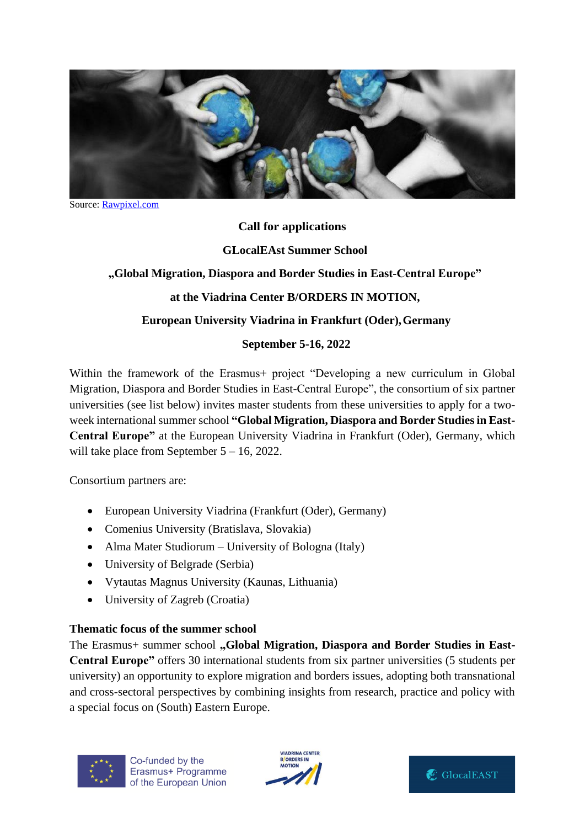

Source: [Rawpixel.com](https://stock.adobe.com/sk/contributor/204567087/rawpixel-com?load_type=author&prev_url=detail) 

## **Call for applications**

## **GLocalEAst Summer School**

## **"Global Migration, Diaspora and Border Studies in East-Central Europe"**

## **at the Viadrina Center B/ORDERS IN MOTION,**

## **European University Viadrina in Frankfurt (Oder),Germany**

## **September 5-16, 2022**

Within the framework of the Erasmus+ project "Developing a new curriculum in Global Migration, Diaspora and Border Studies in East-Central Europe", the consortium of six partner universities (see list below) invites master students from these universities to apply for a twoweek international summer school **"Global Migration, Diaspora and Border Studies in East-Central Europe"** at the European University Viadrina in Frankfurt (Oder), Germany, which will take place from September 5 – 16, 2022.

Consortium partners are:

- European University Viadrina (Frankfurt (Oder), Germany)
- Comenius University (Bratislava, Slovakia)
- Alma Mater Studiorum University of Bologna (Italy)
- University of Belgrade (Serbia)
- Vytautas Magnus University (Kaunas, Lithuania)
- University of Zagreb (Croatia)

## **Thematic focus of the summer school**

The Erasmus+ summer school "Global Migration, Diaspora and Border Studies in East-**Central Europe"** offers 30 international students from six partner universities (5 students per university) an opportunity to explore migration and borders issues, adopting both transnational and cross-sectoral perspectives by combining insights from research, practice and policy with a special focus on (South) Eastern Europe.





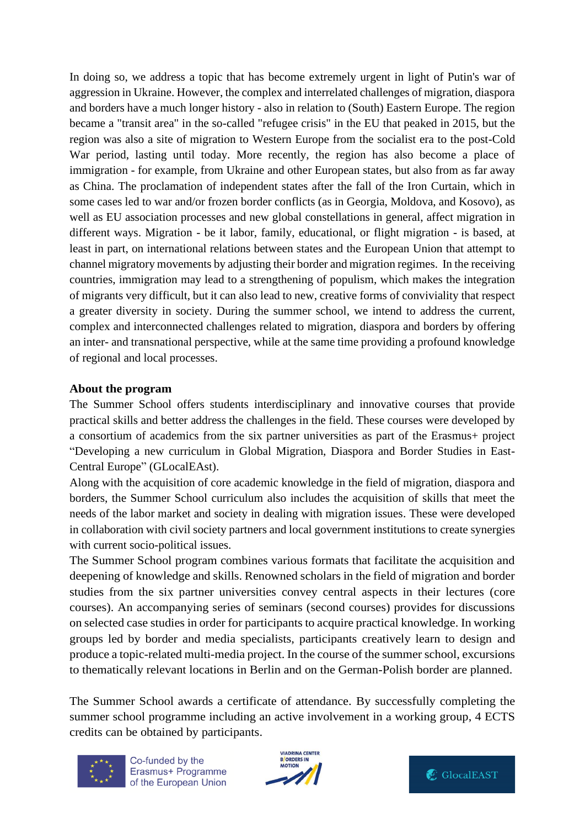In doing so, we address a topic that has become extremely urgent in light of Putin's war of aggression in Ukraine. However, the complex and interrelated challenges of migration, diaspora and borders have a much longer history - also in relation to (South) Eastern Europe. The region became a "transit area" in the so-called "refugee crisis" in the EU that peaked in 2015, but the region was also a site of migration to Western Europe from the socialist era to the post-Cold War period, lasting until today. More recently, the region has also become a place of immigration - for example, from Ukraine and other European states, but also from as far away as China. The proclamation of independent states after the fall of the Iron Curtain, which in some cases led to war and/or frozen border conflicts (as in Georgia, Moldova, and Kosovo), as well as EU association processes and new global constellations in general, affect migration in different ways. Migration - be it labor, family, educational, or flight migration - is based, at least in part, on international relations between states and the European Union that attempt to channel migratory movements by adjusting their border and migration regimes. In the receiving countries, immigration may lead to a strengthening of populism, which makes the integration of migrants very difficult, but it can also lead to new, creative forms of conviviality that respect a greater diversity in society. During the summer school, we intend to address the current, complex and interconnected challenges related to migration, diaspora and borders by offering an inter- and transnational perspective, while at the same time providing a profound knowledge of regional and local processes.

## **About the program**

The Summer School offers students interdisciplinary and innovative courses that provide practical skills and better address the challenges in the field. These courses were developed by a consortium of academics from the six partner universities as part of the Erasmus+ project "Developing a new curriculum in Global Migration, Diaspora and Border Studies in East-Central Europe" (GLocalEAst).

Along with the acquisition of core academic knowledge in the field of migration, diaspora and borders, the Summer School curriculum also includes the acquisition of skills that meet the needs of the labor market and society in dealing with migration issues. These were developed in collaboration with civil society partners and local government institutions to create synergies with current socio-political issues.

The Summer School program combines various formats that facilitate the acquisition and deepening of knowledge and skills. Renowned scholars in the field of migration and border studies from the six partner universities convey central aspects in their lectures (core courses). An accompanying series of seminars (second courses) provides for discussions on selected case studies in order for participants to acquire practical knowledge. In working groups led by border and media specialists, participants creatively learn to design and produce a topic-related multi-media project. In the course of the summer school, excursions to thematically relevant locations in Berlin and on the German-Polish border are planned.

The Summer School awards a certificate of attendance. By successfully completing the summer school programme including an active involvement in a working group, 4 ECTS credits can be obtained by participants.



Co-funded by the Erasmus+ Programme of the European Union



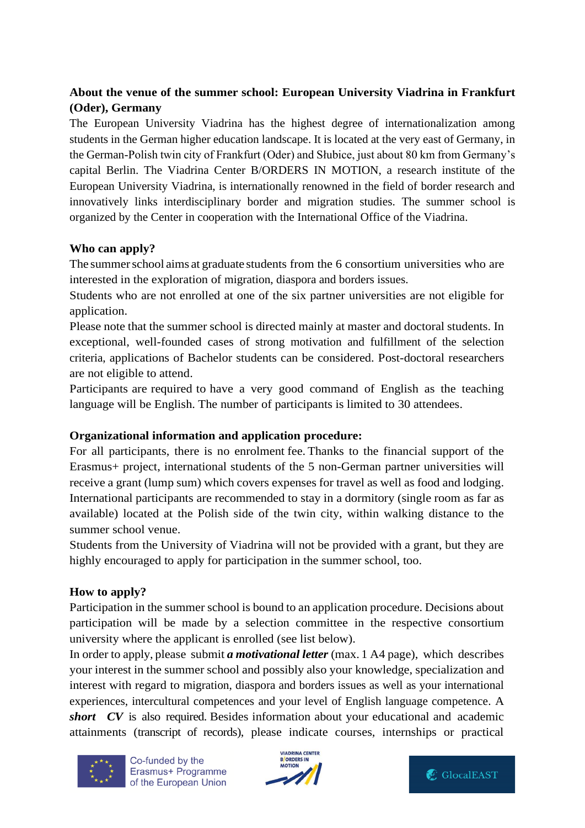# **About the venue of the summer school: European University Viadrina in Frankfurt (Oder), Germany**

The European University Viadrina has the highest degree of internationalization among students in the German higher education landscape. It is located at the very east of Germany, in the German-Polish twin city of Frankfurt (Oder) and Słubice, just about 80 km from Germany's capital Berlin. The Viadrina Center B/ORDERS IN MOTION, a research institute of the European University Viadrina, is internationally renowned in the field of border research and innovatively links interdisciplinary border and migration studies. The summer school is organized by the Center in cooperation with the International Office of the Viadrina.

## **Who can apply?**

The summerschool aims at graduate students from the 6 consortium universities who are interested in the exploration of migration, diaspora and borders issues.

Students who are not enrolled at one of the six partner universities are not eligible for application.

Please note that the summer school is directed mainly at master and doctoral students. In exceptional, well-founded cases of strong motivation and fulfillment of the selection criteria, applications of Bachelor students can be considered. Post-doctoral researchers are not eligible to attend.

Participants are required to have a very good command of English as the teaching language will be English. The number of participants is limited to 30 attendees.

# **Organizational information and application procedure:**

For all participants, there is no enrolment fee. Thanks to the financial support of the Erasmus+ project, international students of the 5 non-German partner universities will receive a grant (lump sum) which covers expenses for travel as well as food and lodging. International participants are recommended to stay in a dormitory (single room as far as available) located at the Polish side of the twin city, within walking distance to the summer school venue.

Students from the University of Viadrina will not be provided with a grant, but they are highly encouraged to apply for participation in the summer school, too.

# **How to apply?**

Participation in the summer school is bound to an application procedure. Decisions about participation will be made by a selection committee in the respective consortium university where the applicant is enrolled (see list below).

In order to apply, please submit *a motivational letter* (max. 1 A4 page), which describes your interest in the summer school and possibly also your knowledge, specialization and interest with regard to migration, diaspora and borders issues as well as your international experiences, intercultural competences and your level of English language competence. A *short CV* is also required. Besides information about your educational and academic attainments (transcript of records), please indicate courses, internships or practical



Co-funded by the Erasmus+ Programme of the European Union